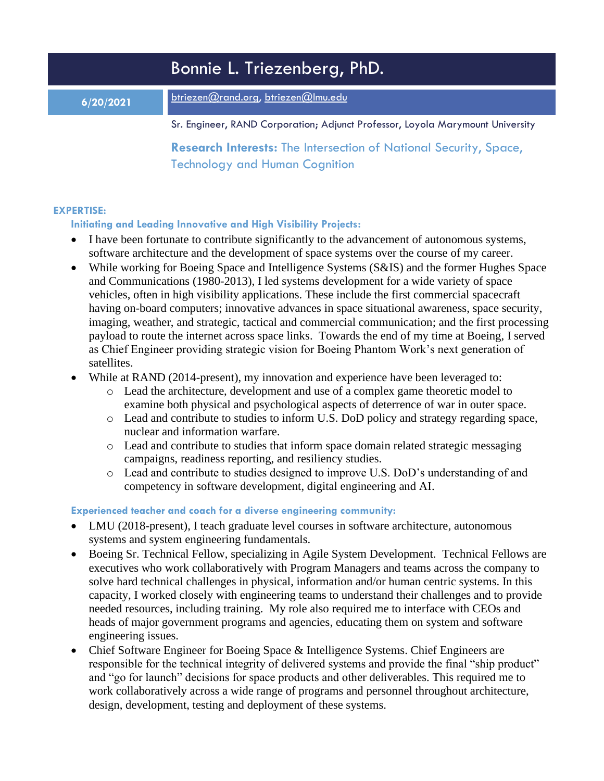|           | Bonnie L. Triezenberg, PhD.                                                                                       |
|-----------|-------------------------------------------------------------------------------------------------------------------|
| 6/20/2021 | btriezen@rand.org, btriezen@Imu.edu                                                                               |
|           | Sr. Engineer, RAND Corporation; Adjunct Professor, Loyola Marymount University                                    |
|           | <b>Research Interests:</b> The Intersection of National Security, Space,<br><b>Technology and Human Cognition</b> |

## **EXPERTISE:**

## **Initiating and Leading Innovative and High Visibility Projects:**

- I have been fortunate to contribute significantly to the advancement of autonomous systems, software architecture and the development of space systems over the course of my career.
- While working for Boeing Space and Intelligence Systems (S&IS) and the former Hughes Space and Communications (1980-2013), I led systems development for a wide variety of space vehicles, often in high visibility applications. These include the first commercial spacecraft having on-board computers; innovative advances in space situational awareness, space security, imaging, weather, and strategic, tactical and commercial communication; and the first processing payload to route the internet across space links. Towards the end of my time at Boeing, I served as Chief Engineer providing strategic vision for Boeing Phantom Work's next generation of satellites.
- While at RAND (2014-present), my innovation and experience have been leveraged to:
	- o Lead the architecture, development and use of a complex game theoretic model to examine both physical and psychological aspects of deterrence of war in outer space.
	- o Lead and contribute to studies to inform U.S. DoD policy and strategy regarding space, nuclear and information warfare.
	- o Lead and contribute to studies that inform space domain related strategic messaging campaigns, readiness reporting, and resiliency studies.
	- o Lead and contribute to studies designed to improve U.S. DoD's understanding of and competency in software development, digital engineering and AI.

# **Experienced teacher and coach for a diverse engineering community:**

- LMU (2018-present), I teach graduate level courses in software architecture, autonomous systems and system engineering fundamentals.
- Boeing Sr. Technical Fellow, specializing in Agile System Development. Technical Fellows are executives who work collaboratively with Program Managers and teams across the company to solve hard technical challenges in physical, information and/or human centric systems. In this capacity, I worked closely with engineering teams to understand their challenges and to provide needed resources, including training. My role also required me to interface with CEOs and heads of major government programs and agencies, educating them on system and software engineering issues.
- Chief Software Engineer for Boeing Space & Intelligence Systems. Chief Engineers are responsible for the technical integrity of delivered systems and provide the final "ship product" and "go for launch" decisions for space products and other deliverables. This required me to work collaboratively across a wide range of programs and personnel throughout architecture, design, development, testing and deployment of these systems.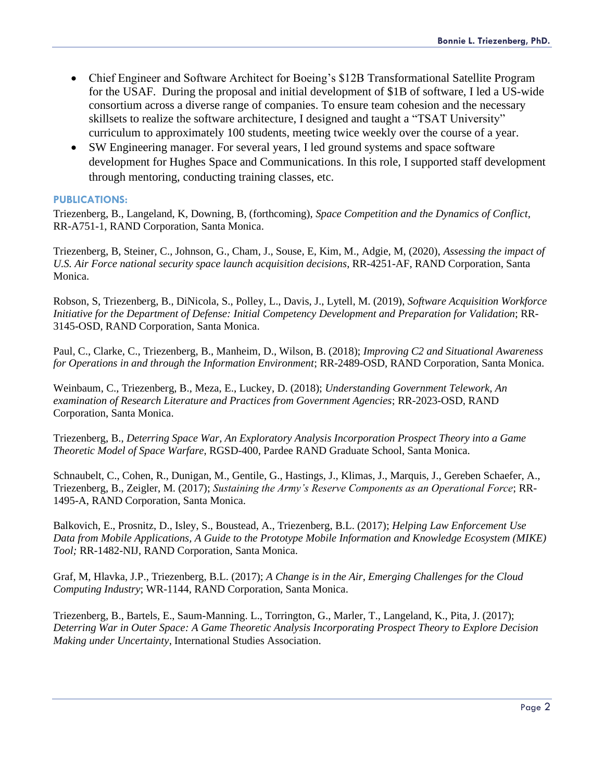- Chief Engineer and Software Architect for Boeing's \$12B Transformational Satellite Program for the USAF. During the proposal and initial development of \$1B of software, I led a US-wide consortium across a diverse range of companies. To ensure team cohesion and the necessary skillsets to realize the software architecture, I designed and taught a "TSAT University" curriculum to approximately 100 students, meeting twice weekly over the course of a year.
- SW Engineering manager. For several years, I led ground systems and space software development for Hughes Space and Communications. In this role, I supported staff development through mentoring, conducting training classes, etc.

#### **PUBLICATIONS:**

Triezenberg, B., Langeland, K, Downing, B, (forthcoming), *Space Competition and the Dynamics of Conflict*, RR-A751-1, RAND Corporation, Santa Monica.

Triezenberg, B, Steiner, C., Johnson, G., Cham, J., Souse, E, Kim, M., Adgie, M, (2020), *Assessing the impact of U.S. Air Force national security space launch acquisition decisions*, RR-4251-AF, RAND Corporation, Santa Monica.

Robson, S, Triezenberg, B., DiNicola, S., Polley, L., Davis, J., Lytell, M. (2019), *Software Acquisition Workforce Initiative for the Department of Defense: Initial Competency Development and Preparation for Validation*; RR-3145-OSD, RAND Corporation, Santa Monica.

Paul, C., Clarke, C., Triezenberg, B., Manheim, D., Wilson, B. (2018); *Improving C2 and Situational Awareness for Operations in and through the Information Environment*; RR-2489-OSD, RAND Corporation, Santa Monica.

Weinbaum, C., Triezenberg, B., Meza, E., Luckey, D. (2018); *Understanding Government Telework, An examination of Research Literature and Practices from Government Agencies*; RR-2023-OSD, RAND Corporation, Santa Monica.

Triezenberg, B., *Deterring Space War, An Exploratory Analysis Incorporation Prospect Theory into a Game Theoretic Model of Space Warfare*, RGSD-400, Pardee RAND Graduate School, Santa Monica.

Schnaubelt, C., Cohen, R., Dunigan, M., Gentile, G., Hastings, J., Klimas, J., Marquis, J., Gereben Schaefer, A., Triezenberg, B., Zeigler, M. (2017); *Sustaining the Army's Reserve Components as an Operational Force*; RR-1495-A, RAND Corporation, Santa Monica.

Balkovich, E., Prosnitz, D., Isley, S., Boustead, A., Triezenberg, B.L. (2017); *Helping Law Enforcement Use Data from Mobile Applications, A Guide to the Prototype Mobile Information and Knowledge Ecosystem (MIKE) Tool;* RR-1482-NIJ, RAND Corporation, Santa Monica.

Graf, M, Hlavka, J.P., Triezenberg, B.L. (2017); *A Change is in the Air, Emerging Challenges for the Cloud Computing Industry*; WR-1144, RAND Corporation, Santa Monica.

Triezenberg, B., Bartels, E., Saum-Manning. L., Torrington, G., Marler, T., Langeland, K., Pita, J. (2017); *Deterring War in Outer Space: A Game Theoretic Analysis Incorporating Prospect Theory to Explore Decision Making under Uncertainty*, International Studies Association.